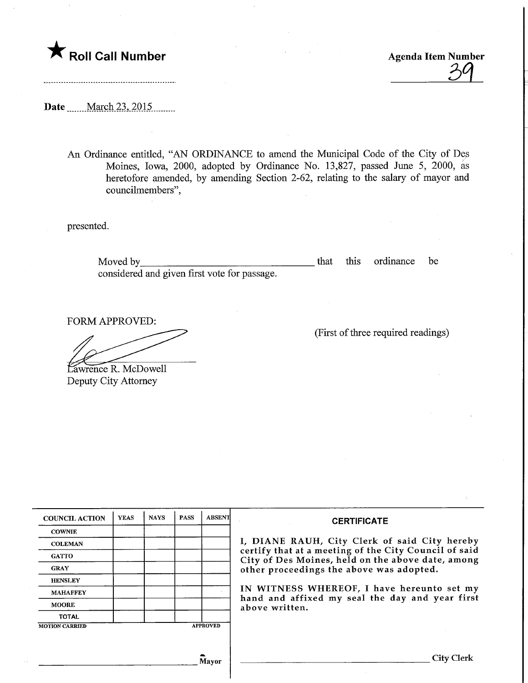

**Roll Call Number**  $\beta$  **agenda Item Number** 

Date <u>March 23, 2015</u>

An Ordinance entitled, "AN ORDINANCE to amend the Municipal Code of the City of Des Moines, Iowa, 2000, adopted by Ordinance No. 13,827, passed June 5, 2000, as heretofore amended, by amending Section 2-62, relating to the salary of mayor and councilmembers",

presented.

Moved by that this ordinance be considered and given first vote for passage.

FORM APPROVED:

Lawrence R. McDowell Deputy City Attorney

|  |  |  | (First of three required readings) |  |
|--|--|--|------------------------------------|--|
|  |  |  |                                    |  |

| <b>COUNCIL ACTION</b> | <b>YEAS</b> | <b>NAYS</b>     | <b>PASS</b> | <b>ABSENT</b>                                                                                 | <b>CERTIFICATE</b>                                                                                         |  |  |  |
|-----------------------|-------------|-----------------|-------------|-----------------------------------------------------------------------------------------------|------------------------------------------------------------------------------------------------------------|--|--|--|
| <b>COWNIE</b>         |             |                 |             |                                                                                               |                                                                                                            |  |  |  |
| <b>COLEMAN</b>        |             |                 |             |                                                                                               | I, DIANE RAUH, City Clerk of said City hereby                                                              |  |  |  |
| <b>GATTO</b>          |             |                 |             |                                                                                               | certify that at a meeting of the City Council of said<br>City of Des Moines, held on the above date, among |  |  |  |
| <b>GRAY</b>           |             |                 |             |                                                                                               | other proceedings the above was adopted.                                                                   |  |  |  |
| <b>HENSLEY</b>        |             |                 |             |                                                                                               |                                                                                                            |  |  |  |
| <b>MAHAFFEY</b>       |             |                 |             | IN WITNESS WHEREOF, I have hereunto set my<br>hand and affixed my seal the day and year first |                                                                                                            |  |  |  |
| <b>MOORE</b>          |             |                 |             |                                                                                               | above written.                                                                                             |  |  |  |
| <b>TOTAL</b>          |             |                 |             |                                                                                               |                                                                                                            |  |  |  |
| <b>MOTION CARRIED</b> |             | <b>APPROVED</b> |             |                                                                                               |                                                                                                            |  |  |  |
|                       |             |                 |             |                                                                                               |                                                                                                            |  |  |  |
|                       |             |                 |             | Mavor                                                                                         | City Clerk                                                                                                 |  |  |  |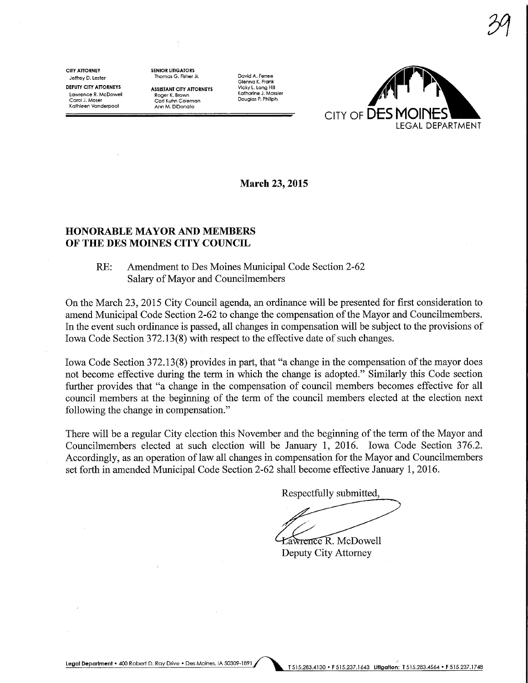CITY ATTORNEY Jeffrey D. Lester DEPUTY CITY ATTORNEYS Lawrence R. McDowel! Carol J. Moser Kathleen Vanderpool

SENIOR LITIGAIORS Thomas G. Fisher Jr.

**ASSISTANT CITY ATTORNEYS** Roger K. Brown Cori Kuhn Coleman Ann M. DiDonafo

David A. Ferree Glenna K. Frank Vicky L. Long Hill Katharine J. Massier Douglas P. Phlllph



March 23, 2015

## HONORABLE MAYOR AND MEMBERS OF THE DES MOINES CITY COUNCIL

## RE: Amendment to Des Moines Municipal Code Section 2-62 Salary of Mayor and Councilmembers

On the March 23, 2015 City Council agenda, an ordinance will be presented for first consideration to amend Municipal Code Section 2-62 to change the compensation of the Mayor and Councilmembers. In the event such ordinance is passed, all changes in compensation will be subject to the provisions of Iowa Code Section 372.13(8) with respect to the effective date of such changes.

Iowa Code Section 372.13(8) provides in part, that "a change in the compensation of the mayor does not become effective during the term in which the change is adopted." Similarly this Code section further provides that "a change in the compensation of council members becomes effective for all council members at the beginning of the term of the council members elected at the election next following the change in compensation."

There will be a regular City election this November and the beginning of the term of the Mayor and Councilmembers elected at such election will be January 1, 2016. Iowa Code Section 376.2. Accordingly, as an operation of law all changes in compensation for the Mayor and Councilmembers set forth in amended Municipal Code Section 2-62 shall become effective January 1, 2016.

Respectfully submitted,

Lawrence R. McDowell

Deputy City Attorney